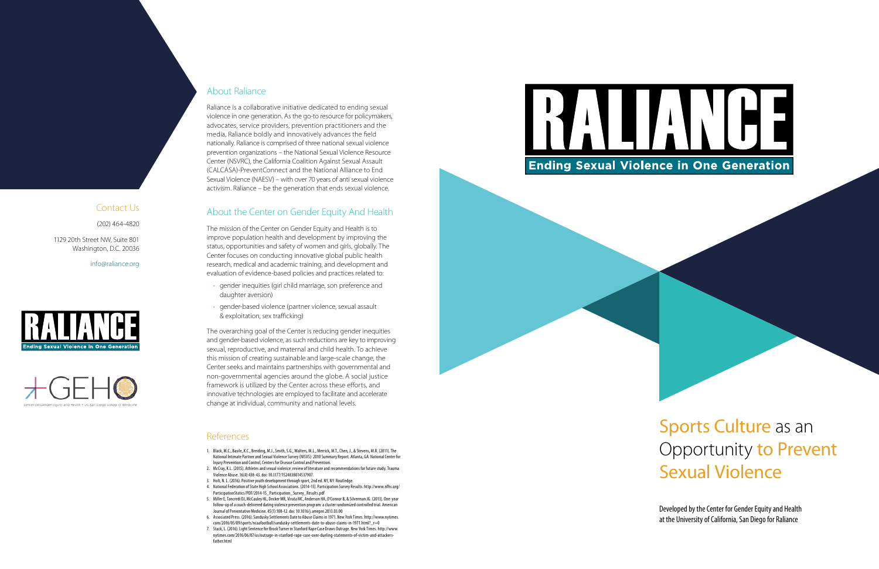# Sports Culture as an Opportunity to Prevent Sexual Violence

- 1. Black, M.C., Basile, K.C., Breiding, M.J., Smith, S.G., Walters, M.L., Merrick, M.T., Chen, J., & Stevens, M.R. (2011). The National Intimate Partner and Sexual Violence Survey (NISVS): 2010 Summary Report. Atlanta, GA: National Center for Injury Prevention and Control, Centers for Disease Control and Prevention.
- 2. McCray, K.L. (2015). Athletes and sexual violence: review of literature and recommendations for future study. Trauma Violence Abuse. 16(4):438-43. doi: 10.1177/1524838014537907.
- 3. Holt, N. L. (2016). Positive youth development through sport, 2nd ed. NY, NY: Routledge.
- 4. National Federation of State High School Associations. (2014-15). Participation Survey Results. http://www.nfhs.org/ ParticipationStatics/PDF/2014-15\_Participation\_Survey\_Results.pdf
- 5. Miller E, Tancredi DJ, McCauley HL, Decker MR, Virata MC, Anderson HA, O'Connor B, & Silverman JG. (2013). One-year follow-up of a coach-delivered dating violence prevention program: a cluster randomized controlled trial. American Journal of Preventative Medicine. 45(1):108-12. doi: 10.1016/j.amepre.2013.03.00
- 6. Associated Press. (2016). Sandusky Settlements Date to Abuse Claims in 1971. New York Times. http://www.nytimes. com/2016/05/09/sports/ncaafootball/sandusky-settlements-date-to-abuse-claims-in-1971.html?\_r=0
- 7. Stack, L. (2016). Light Sentence for Brock Turner in Stanford Rape Case Draws Outrage. New York Times. http://www. nytimes.com/2016/06/07/us/outrage-in-stanford-rape-case-over-dueling-statements-of-victim-and-attackersfather.html







Developed by the Center for Gender Equity and Health at the University of California, San Diego for Raliance

#### References

### About Raliance

Raliance is a collaborative initiative dedicated to ending sexual violence in one generation. As the go-to resource for policymakers, advocates, service providers, prevention practitioners and the media, Raliance boldly and innovatively advances the field nationally. Raliance is comprised of three national sexual violence prevention organizations – the National Sexual Violence Resource Center (NSVRC), the California Coalition Against Sexual Assault (CALCASA)-PreventConnect and the National Alliance to End Sexual Violence (NAESV) – with over 70 years of anti sexual violence activism. Raliance – be the generation that ends sexual violence.

### About the Center on Gender Equity And Health

The mission of the Center on Gender Equity and Health is to improve population health and development by improving the status, opportunities and safety of women and girls, globally. The Center focuses on conducting innovative global public health research, medical and academic training, and development and evaluation of evidence-based policies and practices related to:

- gender inequities (girl child marriage, son preference and daughter aversion)
- gender-based violence (partner violence, sexual assault & exploitation, sex trafficking)

The overarching goal of the Center is reducing gender inequities and gender-based violence, as such reductions are key to improving sexual, reproductive, and maternal and child health. To achieve this mission of creating sustainable and large-scale change, the Center seeks and maintains partnerships with governmental and non-governmental agencies around the globe. A social justice framework is utilized by the Center across these efforts, and innovative technologies are employed to facilitate and accelerate change at individual, community and national levels.

Contact Us

(202) 464-4820

1129 20th Street NW, Suite 801 Washington, D.C. 20036

info@raliance.org